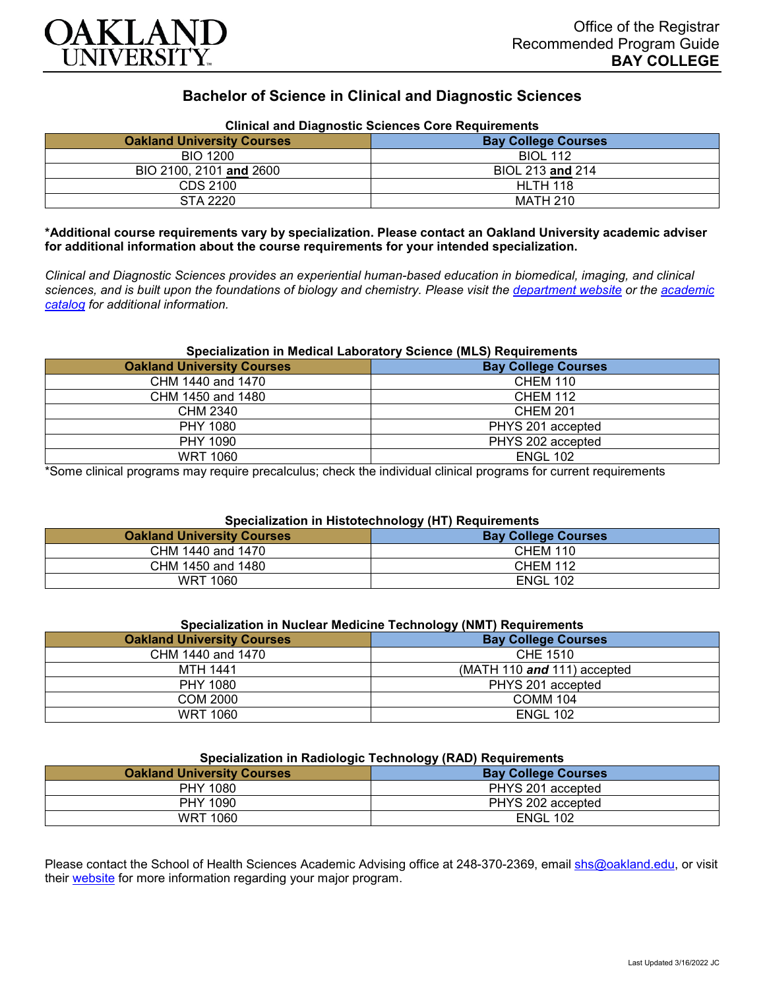

# **Bachelor of Science in Clinical and Diagnostic Sciences**

| Clinical and Diagnostic Sciences Core Requirements |                            |
|----------------------------------------------------|----------------------------|
| <b>Oakland University Courses</b>                  | <b>Bay College Courses</b> |
| <b>BIO 1200</b>                                    | <b>BIOL 112</b>            |
| BIO 2100, 2101 and 2600                            | BIOL 213 and 214           |
| CDS 2100                                           | <b>HLTH 118</b>            |
| STA 2220                                           | MATH 210                   |

## **Clinical and Diagnostic Sciences Core Requirements**

**\*Additional course requirements vary by specialization. Please contact an Oakland University academic adviser for additional information about the course requirements for your intended specialization.**

*Clinical and Diagnostic Sciences provides an experiential human-based education in biomedical, imaging, and clinical sciences, and is built upon the foundations of biology and chemistry. Please visit the [department website](https://www.oakland.edu/shs/clinical-and-diagnostic-sciences/) or the [academic](http://catalog.oakland.edu/preview_program.php?catoid=53&poid=8663)  [catalog](http://catalog.oakland.edu/preview_program.php?catoid=53&poid=8663) for additional information.*

## **Specialization in Medical Laboratory Science (MLS) Requirements**

| <b>Oakland University Courses</b> | <b>Bay College Courses</b> |
|-----------------------------------|----------------------------|
| CHM 1440 and 1470                 | <b>CHEM 110</b>            |
| CHM 1450 and 1480                 | <b>CHEM 112</b>            |
| CHM 2340                          | <b>CHEM 201</b>            |
| <b>PHY 1080</b>                   | PHYS 201 accepted          |
| PHY 1090                          | PHYS 202 accepted          |
| <b>WRT 1060</b>                   | <b>ENGL 102</b>            |

\*Some clinical programs may require precalculus; check the individual clinical programs for current requirements

## **Specialization in Histotechnology (HT) Requirements**

| <b>Oakland University Courses</b> | . .<br><b>Bay College Courses</b> |
|-----------------------------------|-----------------------------------|
| CHM 1440 and 1470                 | <b>CHEM 110</b>                   |
| CHM 1450 and 1480                 | <b>CHEM 112</b>                   |
| WRT 1060                          | <b>ENGL 102</b>                   |

| Specialization in Nuclear Medicine Technology (NMT) Requirements |
|------------------------------------------------------------------|
|                                                                  |

| <b>Oakland University Courses</b> | <b>Bay College Courses</b>    |
|-----------------------------------|-------------------------------|
| CHM 1440 and 1470                 | CHE 1510                      |
| MTH 1441                          | (MATH 110 $and$ 111) accepted |
| PHY 1080                          | PHYS 201 accepted             |
| COM 2000                          | COMM 104                      |
| WRT 1060                          | <b>ENGL 102</b>               |

## **Specialization in Radiologic Technology (RAD) Requirements**

| <b>Bay College Courses</b> |  |
|----------------------------|--|
| PHYS 201 accepted          |  |
| PHYS 202 accepted          |  |
| <b>ENGL 102</b>            |  |
|                            |  |

Please contact the School of Health Sciences Academic Advising office at 248-370-2369, email [shs@oakland.edu,](mailto:shs@oakland.edu) or visit their [website](http://www.oakland.edu/shs/advising) for more information regarding your major program.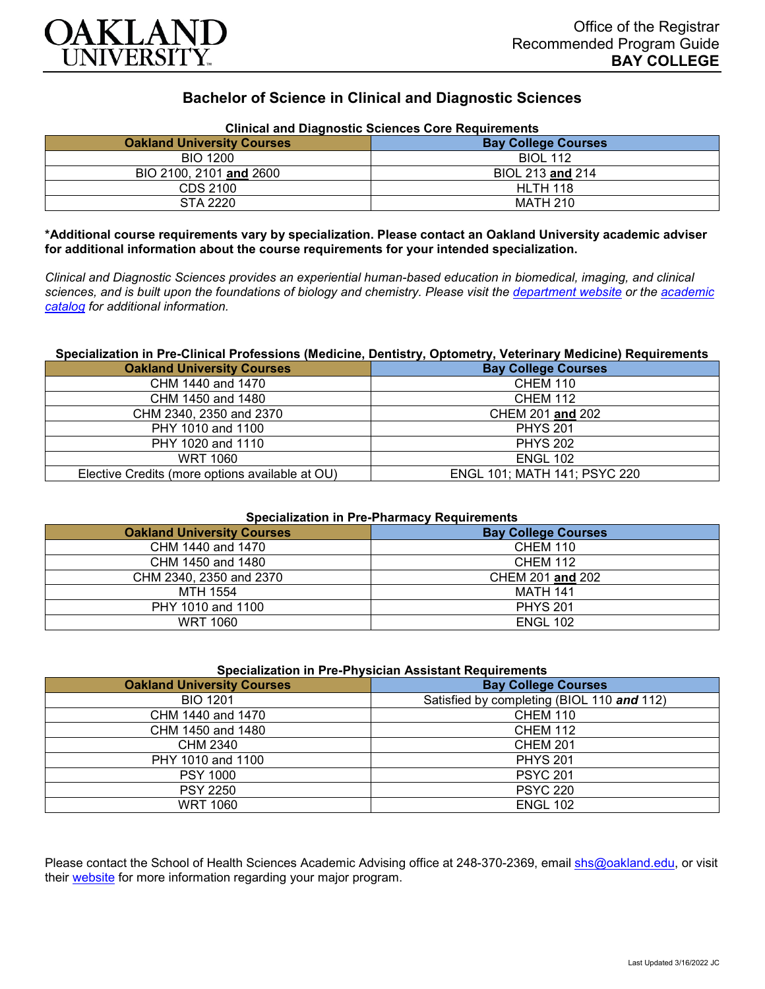

# **Bachelor of Science in Clinical and Diagnostic Sciences**

| Clinical and Diagnostic Sciences Core Requirements |                            |
|----------------------------------------------------|----------------------------|
| <b>Oakland University Courses</b>                  | <b>Bay College Courses</b> |
| <b>BIO 1200</b>                                    | <b>BIOL 112</b>            |
| BIO 2100, 2101 and 2600                            | BIOL 213 and 214           |
| CDS 2100                                           | <b>HLTH 118</b>            |
| STA 2220                                           | MATH 210                   |

**Clinical and Diagnostic Sciences Core Requirements**

**\*Additional course requirements vary by specialization. Please contact an Oakland University academic adviser for additional information about the course requirements for your intended specialization.**

*Clinical and Diagnostic Sciences provides an experiential human-based education in biomedical, imaging, and clinical sciences, and is built upon the foundations of biology and chemistry. Please visit the [department website](https://www.oakland.edu/shs/clinical-and-diagnostic-sciences/) or the [academic](http://catalog.oakland.edu/preview_program.php?catoid=53&poid=8663)  [catalog](http://catalog.oakland.edu/preview_program.php?catoid=53&poid=8663) for additional information.*

#### **Specialization in Pre-Clinical Professions (Medicine, Dentistry, Optometry, Veterinary Medicine) Requirements**

| <b>Oakland University Courses</b>               | <b>Bay College Courses</b>   |
|-------------------------------------------------|------------------------------|
| CHM 1440 and 1470                               | <b>CHEM 110</b>              |
| CHM 1450 and 1480                               | <b>CHEM 112</b>              |
| CHM 2340, 2350 and 2370                         | CHEM 201 and 202             |
| PHY 1010 and 1100                               | <b>PHYS 201</b>              |
| PHY 1020 and 1110                               | <b>PHYS 202</b>              |
| <b>WRT 1060</b>                                 | <b>ENGL 102</b>              |
| Elective Credits (more options available at OU) | ENGL 101; MATH 141; PSYC 220 |

## **Specialization in Pre-Pharmacy Requirements**

| <b>Oakland University Courses</b> | <b>Bay College Courses</b> |
|-----------------------------------|----------------------------|
| CHM 1440 and 1470                 | <b>CHEM 110</b>            |
| CHM 1450 and 1480                 | <b>CHEM 112</b>            |
| CHM 2340, 2350 and 2370           | CHEM 201 and 202           |
| MTH 1554                          | <b>MATH 141</b>            |
| PHY 1010 and 1100                 | <b>PHYS 201</b>            |
| WRT 1060                          | <b>ENGL 102</b>            |

|  | <b>Specialization in Pre-Physician Assistant Requirements</b> |
|--|---------------------------------------------------------------|
|--|---------------------------------------------------------------|

| <b>Oakland University Courses</b> | <b>Bay College Courses</b>                 |
|-----------------------------------|--------------------------------------------|
| <b>BIO 1201</b>                   | Satisfied by completing (BIOL 110 and 112) |
| CHM 1440 and 1470                 | <b>CHEM 110</b>                            |
| CHM 1450 and 1480                 | <b>CHEM 112</b>                            |
| CHM 2340                          | <b>CHEM 201</b>                            |
| PHY 1010 and 1100                 | <b>PHYS 201</b>                            |
| <b>PSY 1000</b>                   | <b>PSYC 201</b>                            |
| <b>PSY 2250</b>                   | <b>PSYC 220</b>                            |
| <b>WRT 1060</b>                   | <b>ENGL 102</b>                            |

Please contact the School of Health Sciences Academic Advising office at 248-370-2369, email [shs@oakland.edu,](mailto:shs@oakland.edu) or visit their [website](http://www.oakland.edu/shs/advising) for more information regarding your major program.